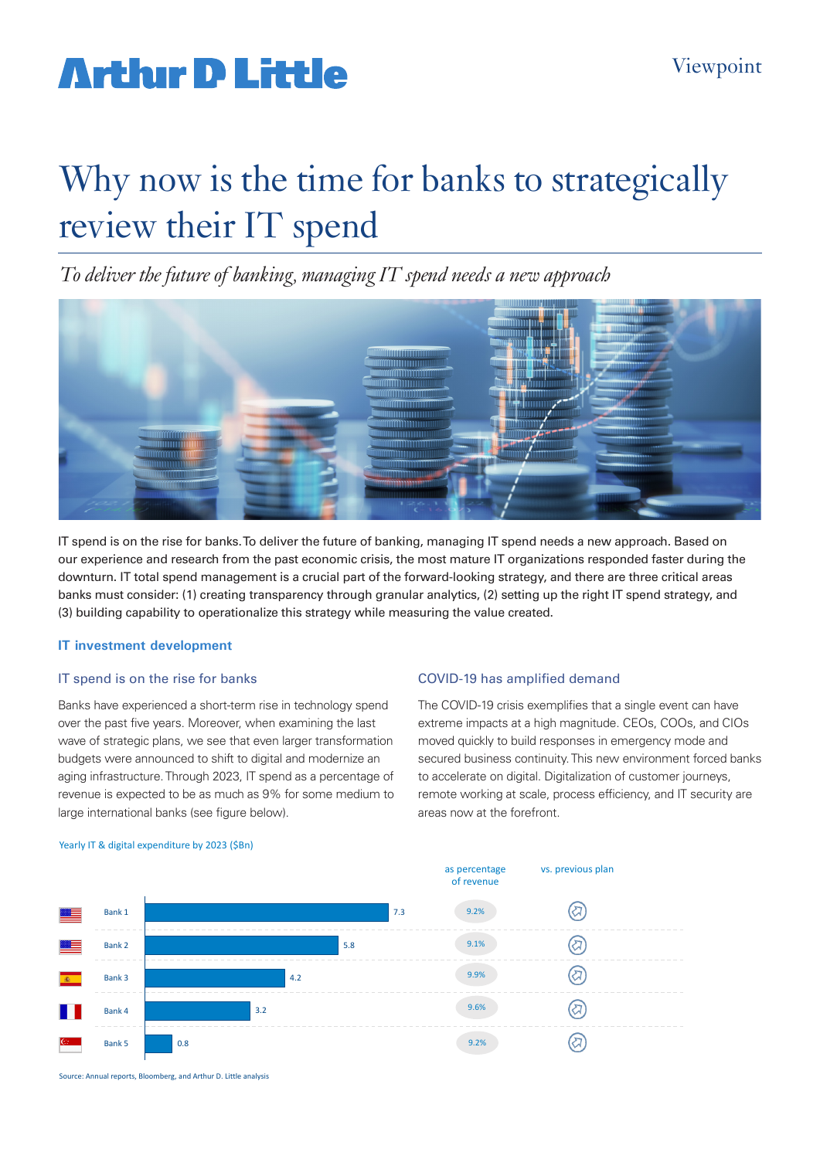# **Artlur D Little**

# Why now is the time for banks to strategically review their IT spend

*To deliver the future of banking, managing IT spend needs a new approach*



IT spend is on the rise for banks. To deliver the future of banking, managing IT spend needs a new approach. Based on our experience and research from the past economic crisis, the most mature IT organizations responded faster during the downturn. IT total spend management is a crucial part of the forward-looking strategy, and there are three critical areas banks must consider: (1) creating transparency through granular analytics, (2) setting up the right IT spend strategy, and (3) building capability to operationalize this strategy while measuring the value created.

## **IT investment development**

## IT spend is on the rise for banks

Banks have experienced a short-term rise in technology spend over the past five years. Moreover, when examining the last wave of strategic plans, we see that even larger transformation budgets were announced to shift to digital and modernize an aging infrastructure. Through 2023, IT spend as a percentage of revenue is expected to be as much as 9% for some medium to large international banks (see figure below).

## COVID-19 has amplified demand

The COVID-19 crisis exemplifies that a single event can have extreme impacts at a high magnitude. CEOs, COOs, and CIOs moved quickly to build responses in emergency mode and secured business continuity. This new environment forced banks to accelerate on digital. Digitalization of customer journeys, remote working at scale, process efficiency, and IT security are areas now at the forefront.



#### Yearly IT & digital expenditure by 2023 (\$Bn)

Source: Annual reports, Bloomberg, and Arthur D. Little analysis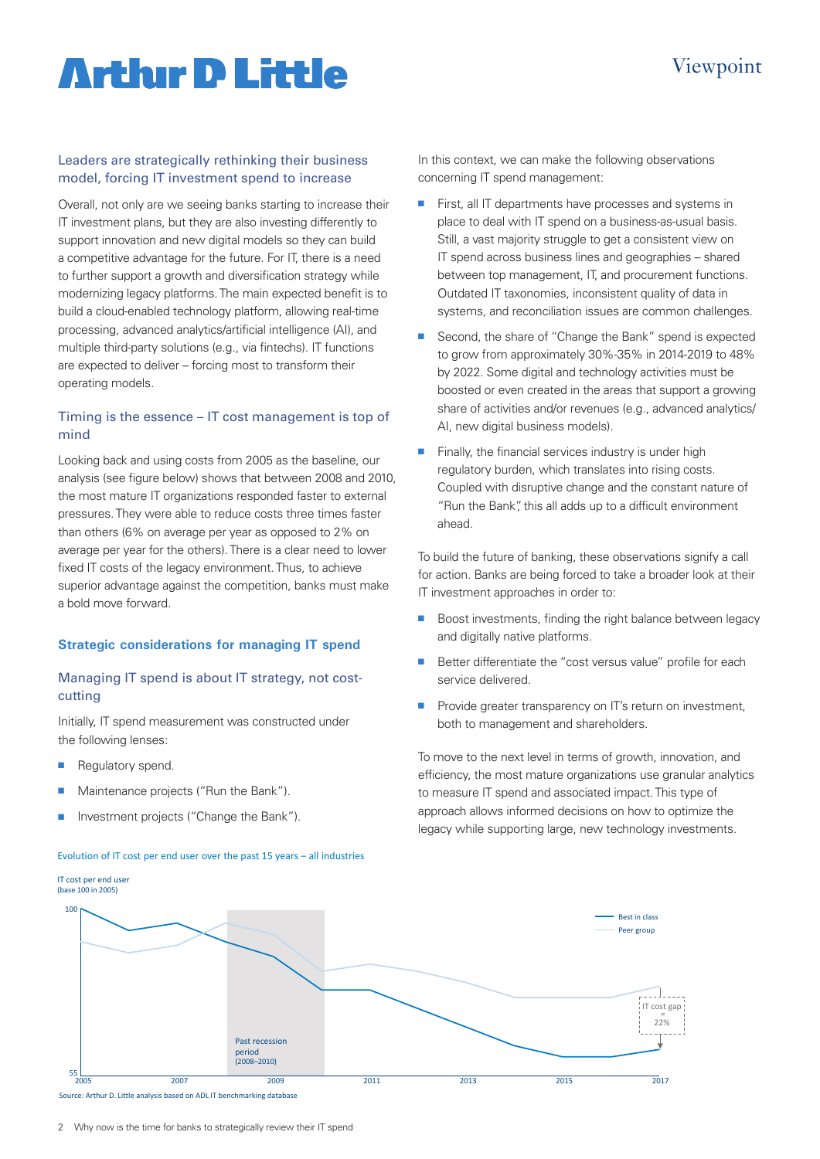## Viewpoint

# **Arthır D Little**

## Leaders are strategically rethinking their business model, forcing IT investment spend to increase

Overall, not only are we seeing banks starting to increase their IT investment plans, but they are also investing differently to support innovation and new digital models so they can build a competitive advantage for the future. For IT, there is a need to further support a growth and diversification strategy while modernizing legacy platforms. The main expected benefit is to build a cloud-enabled technology platform, allowing real-time processing, advanced analytics/artificial intelligence (AI), and multiple third-party solutions (e.g., via fintechs). IT functions are expected to deliver – forcing most to transform their operating models.

## Timing is the essence – IT cost management is top of mind

Looking back and using costs from 2005 as the baseline, our analysis (see figure below) shows that between 2008 and 2010, the most mature IT organizations responded faster to external pressures. They were able to reduce costs three times faster than others (6% on average per year as opposed to 2% on average per year for the others). There is a clear need to lower fixed IT costs of the legacy environment. Thus, to achieve superior advantage against the competition, banks must make a bold move forward.

## **Strategic considerations for managing IT spend**

## Managing IT spend is about IT strategy, not costcutting

Initially, IT spend measurement was constructed under the following lenses:

**n** Regulatory spend.

IT cost per end user

- **n** Maintenance projects ("Run the Bank").
- **n** Investment projects ("Change the Bank").

### Evolution of IT cost per end user over the past 15 years – all industries

In this context, we can make the following observations concerning IT spend management:

- First, all IT departments have processes and systems in place to deal with IT spend on a business-as-usual basis. Still, a vast majority struggle to get a consistent view on IT spend across business lines and geographies – shared between top management, IT, and procurement functions. Outdated IT taxonomies, inconsistent quality of data in systems, and reconciliation issues are common challenges.
- Second, the share of "Change the Bank" spend is expected to grow from approximately 30%-35% in 2014-2019 to 48% by 2022. Some digital and technology activities must be boosted or even created in the areas that support a growing share of activities and/or revenues (e.g., advanced analytics/ AI, new digital business models).
- Finally, the financial services industry is under high regulatory burden, which translates into rising costs. Coupled with disruptive change and the constant nature of "Run the Bank", this all adds up to a difficult environment ahead.

To build the future of banking, these observations signify a call for action. Banks are being forced to take a broader look at their IT investment approaches in order to:

- $\blacksquare$  Boost investments, finding the right balance between legacy and digitally native platforms.
- Better differentiate the "cost versus value" profile for each service delivered.
- **Provide greater transparency on IT's return on investment,** both to management and shareholders.

To move to the next level in terms of growth, innovation, and efficiency, the most mature organizations use granular analytics to measure IT spend and associated impact. This type of approach allows informed decisions on how to optimize the legacy while supporting large, new technology investments.



Source: Arthur D. Little analysis based on ADL IT benchmarking database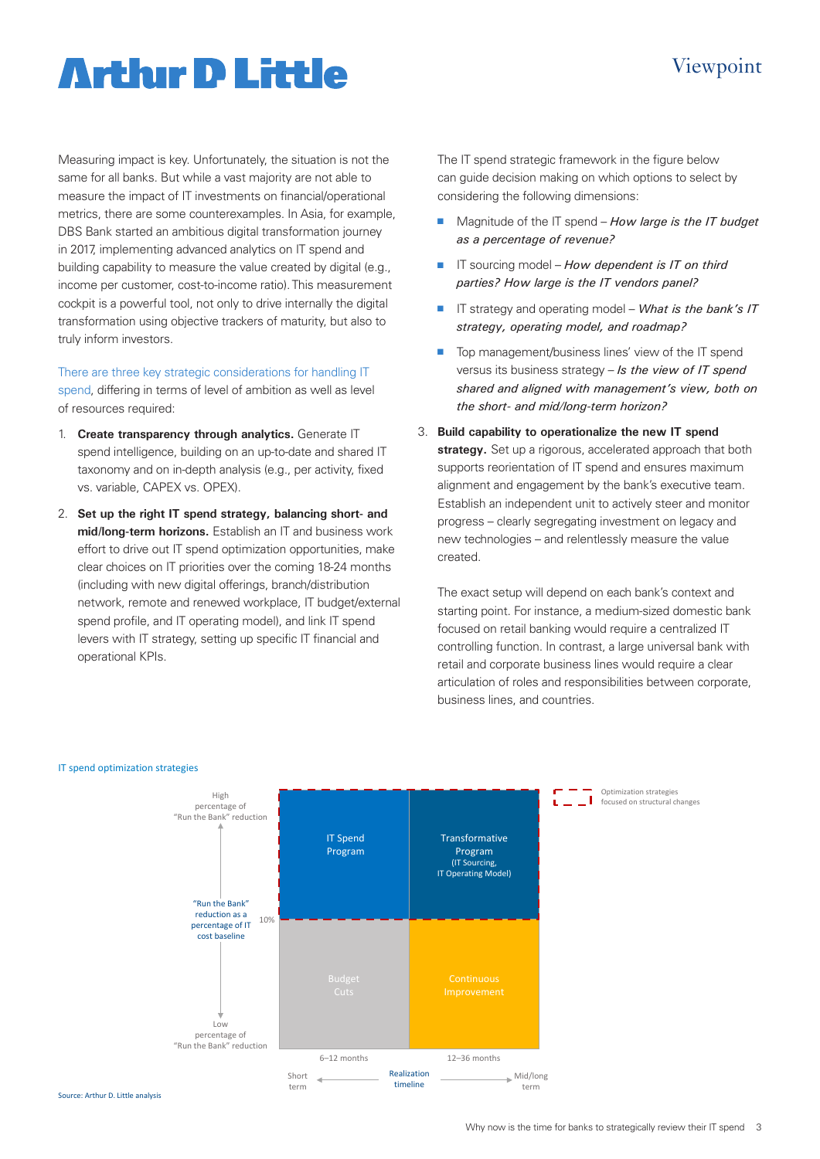## Viewpoint

# **Arthur D Little**

Measuring impact is key. Unfortunately, the situation is not the same for all banks. But while a vast majority are not able to measure the impact of IT investments on financial/operational metrics, there are some counterexamples. In Asia, for example, DBS Bank started an ambitious digital transformation journey in 2017, implementing advanced analytics on IT spend and building capability to measure the value created by digital (e.g., income per customer, cost-to-income ratio). This measurement cockpit is a powerful tool, not only to drive internally the digital transformation using objective trackers of maturity, but also to truly inform investors.

There are three key strategic considerations for handling IT spend, differing in terms of level of ambition as well as level of resources required:

- 1. **Create transparency through analytics.** Generate IT spend intelligence, building on an up-to-date and shared IT taxonomy and on in-depth analysis (e.g., per activity, fixed vs. variable, CAPEX vs. OPEX).
- 2. **Set up the right IT spend strategy, balancing short- and mid/long-term horizons.** Establish an IT and business work effort to drive out IT spend optimization opportunities, make clear choices on IT priorities over the coming 18-24 months (including with new digital offerings, branch/distribution network, remote and renewed workplace, IT budget/external spend profile, and IT operating model), and link IT spend levers with IT strategy, setting up specific IT financial and operational KPIs.

The IT spend strategic framework in the figure below can guide decision making on which options to select by considering the following dimensions:

- Magnitude of the IT spend *How large is the IT budget as a percentage of revenue?*
- IT sourcing model *How dependent is IT on third parties? How large is the IT vendors panel?*
- IT strategy and operating model *What is the bank's IT strategy, operating model, and roadmap?*
- Top management/business lines' view of the IT spend versus its business strategy – *Is the view of IT spend shared and aligned with management's view, both on the short- and mid/long-term horizon?*
- 3. **Build capability to operationalize the new IT spend strategy.** Set up a rigorous, accelerated approach that both supports reorientation of IT spend and ensures maximum alignment and engagement by the bank's executive team. Establish an independent unit to actively steer and monitor progress – clearly segregating investment on legacy and new technologies – and relentlessly measure the value created.

The exact setup will depend on each bank's context and starting point. For instance, a medium-sized domestic bank focused on retail banking would require a centralized IT controlling function. In contrast, a large universal bank with retail and corporate business lines would require a clear articulation of roles and responsibilities between corporate, business lines, and countries.

> Optimization strategies  $\Box$   $\Box$  focused on structural changes

#### IT spend optimization strategies



Source: Arthur D. Little analysis